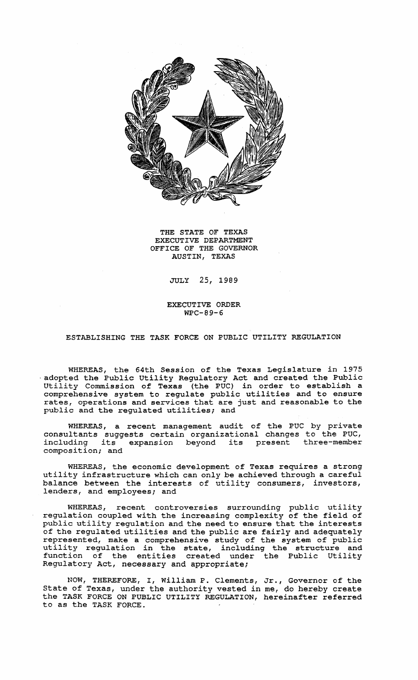

THE STATE OF TEXAS EXECUTIVE DEPARTMENT OFFICE OF THE GOVERNOR AUSTIN, TEXAS

# JULY 25, 1989

EXECUTIVE ORDER WPC-89-6

# ESTABLISHING THE TASK FORCE ON PUBLIC UTILITY REGULATION

WHEREAS, the 64th Session of the Texas Legislature in 1975<br>adopted the Public Utility Regulatory Act and created the Public<br>Utility Commission of Texas (the PUC) in order to establish a comprehensive system to regulate public utilities and to ensure rates, operations and services that are just and reasonable to the public and the regulated utilities; and

WHEREAS, a recent management audit of the PUC by private consultants suggests certain organizational changes to the PUC, including its expansion beyond its present three-member composition; and

WHEREAS, the economic development of Texas requires a strong utility infrastructure which can only be achieved through <sup>a</sup> careful balance between the interests of utility consumers, investors, lenders, and employees; and

WHEREAS, recent controversies surrounding public utility regulation coupled with the increasing complexity of the field of public utility regulation and the need to ensure that the interests of the regulated utilities and the public are fairly and adequately represented, make a comprehensive study of the system of public utility regulation in the state, including the structure and function of the entities created under the Public Utility Regulatory Act, necessary and appropriate;

NOW, THEREFORE, I, William P. Clements, Jr., Governor of the state of Texas, under the authority vested in me, do hereby create the TASK FORCE ON PUBLIC UTILITY REGULATION, hereinafter referred to as the TASK FORCE.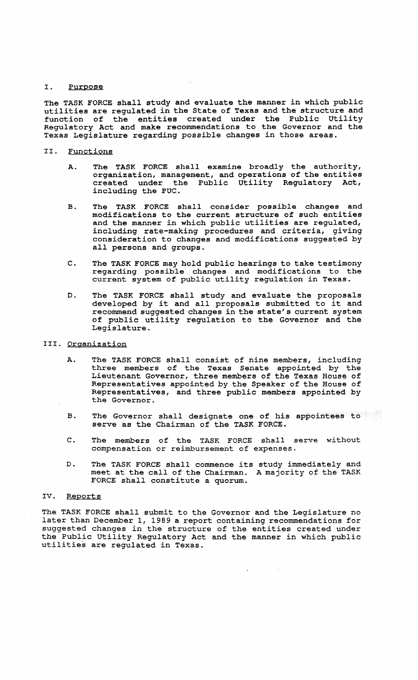# I. Purpose

The TASK FORCE shall study and evaluate the manner in which public utilities are regulated in the State of Texas and the structure and function of the entities created under the Public Utility Regulatory Act and make recommendations to the Governor and the Texas Legislature regarding possible changes in those areas.

#### II. Functions

- A. The TASK FORCE shall examine broadly the authority, organization, management, and operations of the entities created under the Public utility Regulatory Act, including the PUC.
- B. The TASK FORCE shall consider possible changes and modifications to the current structure of such entities and the manner in which public utilities are regulated, including rate-making procedures and criteria, giving consideration to changes and modifications suggested by all persons and groups.
- C. The TASK FORCE may hold public hearings to take testimony regarding possible changes and modifications to the current system of public utility regulation in Texas.
- D. The TASK FORCE shall study and evaluate the proposals developed by it and all proposals submitted to it and recommend suggested changes in the state's current system of public utility regulation to the Governor and the Legislature.
- III. Organization
	- A. The TASK FORCE shall consist of nine members, including three members of the Texas Senate appointed by the Lieutenant Governor, three members of the Texas House of Representatives appointed by the Speaker of the House of Representatives, and three public members appointed by the Governor.
	- B. The Governor shall designate one of his appointees to serve as the Chairman of the TASK FORCE.
	- C. The members of the TASK FORCE shall serve without compensation or reimbursement of expenses.
	- D. The TASK FORCE shall commence its study immediately and meet at the call of the Chairman. <sup>A</sup> majority of the TASK FORCE shall constitute a quorum.

### IV. Reports

The TASK FORCE shall submit to the Governor and the Legislature no later than December 1, 1989 <sup>a</sup> report containing recommendations for suggested changes in the structure of the entities created under the Public Utility Regulatory Act and the manner in which public utilities are regulated in Texas.